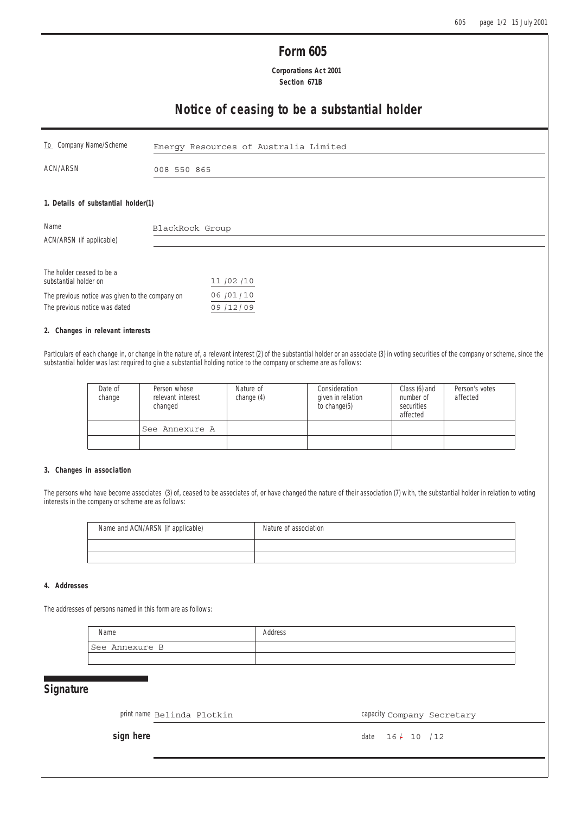# **Form 605**

 **Corporations Act 2001 Section 671B**

# **Notice of ceasing to be a substantial holder**

| To Company Name/Scheme              | Energy Resources of Australia Limited |  |  |
|-------------------------------------|---------------------------------------|--|--|
| ACN/ARSN                            | 008 550 865                           |  |  |
| 1. Details of substantial holder(1) |                                       |  |  |
| Name<br>BlackRock Group             |                                       |  |  |
| ACN/ARSN (if applicable)            |                                       |  |  |

| The holder ceased to be a<br>substantial holder on | 11 /02 /10  |
|----------------------------------------------------|-------------|
| The previous notice was given to the company on    | 06 /01 / 10 |
| The previous notice was dated                      | 09/12/09    |

#### **2. Changes in relevant interests**

Particulars of each change in, or change in the nature of, a relevant interest (2) of the substantial holder or an associate (3) in voting securities of the company or scheme, since the substantial holder was last required to give a substantial holding notice to the company or scheme are as follows:

| Date of<br>change | Person whose<br>relevant interest<br>changed | Nature of<br>change (4) | Consideration<br>given in relation<br>to change(5) | Class (6) and<br>number of<br>securities<br>affected | Person's votes<br>affected |
|-------------------|----------------------------------------------|-------------------------|----------------------------------------------------|------------------------------------------------------|----------------------------|
|                   | See Annexure A                               |                         |                                                    |                                                      |                            |
|                   |                                              |                         |                                                    |                                                      |                            |

#### **3. Changes in association**

The persons who have become associates (3) of, ceased to be associates of, or have changed the nature of their association (7) with, the substantial holder in relation to voting interests in the company or scheme are as follows:

| Name and ACN/ARSN (if applicable) | Nature of association |
|-----------------------------------|-----------------------|
|                                   |                       |
|                                   |                       |

#### **4. Addresses**

The addresses of persons named in this form are as follows:

| Name           | Address |
|----------------|---------|
| See Annexure B |         |
|                |         |

### **Signature**

print name Belinda Plotkin

capacity Company Secretary

**sign here** date 16  $\neq$  10  $\neq$  10  $\neq$  12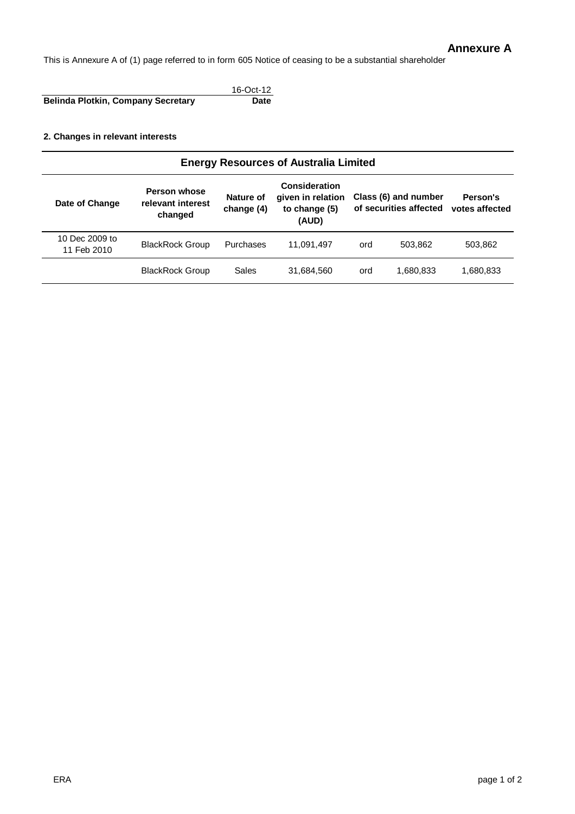This is Annexure A of (1) page referred to in form 605 Notice of ceasing to be a substantial shareholder

|                                           | 16-Oct-12   |
|-------------------------------------------|-------------|
| <b>Belinda Plotkin, Company Secretary</b> | <b>Date</b> |

### **2. Changes in relevant interests**

| <b>Energy Resources of Australia Limited</b> |                                                     |                         |                                                              |     |                                                |                            |
|----------------------------------------------|-----------------------------------------------------|-------------------------|--------------------------------------------------------------|-----|------------------------------------------------|----------------------------|
| Date of Change                               | <b>Person whose</b><br>relevant interest<br>changed | Nature of<br>change (4) | Consideration<br>given in relation<br>to change (5)<br>(AUD) |     | Class (6) and number<br>of securities affected | Person's<br>votes affected |
| 10 Dec 2009 to<br>11 Feb 2010                | <b>BlackRock Group</b>                              | Purchases               | 11.091.497                                                   | ord | 503,862                                        | 503.862                    |
|                                              | <b>BlackRock Group</b>                              | Sales                   | 31,684,560                                                   | ord | 1.680.833                                      | 1,680,833                  |